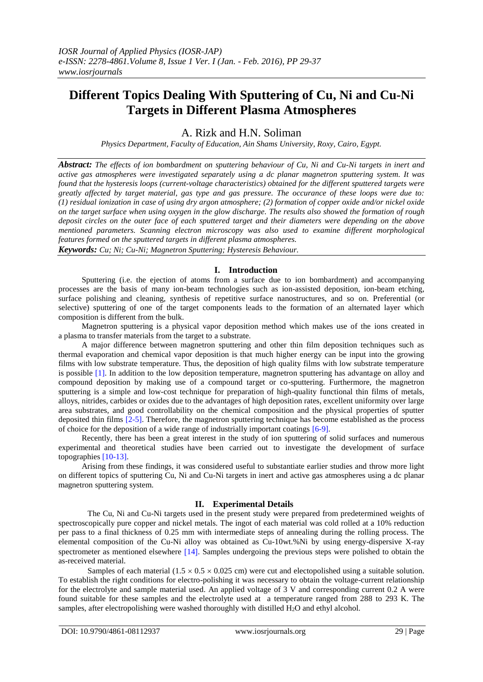# **Different Topics Dealing With Sputtering of Cu, Ni and Cu-Ni Targets in Different Plasma Atmospheres**

A. Rizk and H.N. Soliman

*Physics Department, Faculty of Education, Ain Shams University, Roxy, Cairo, Egypt.*

*Abstract: The effects of ion bombardment on sputtering behaviour of Cu, Ni and Cu-Ni targets in inert and active gas atmospheres were investigated separately using a dc planar magnetron sputtering system. It was found that the hysteresis loops (current-voltage characteristics) obtained for the different sputtered targets were greatly affected by target material, gas type and gas pressure. The occurance of these loops were due to: (1) residual ionization in case of using dry argon atmosphere; (2) formation of copper oxide and/or nickel oxide on the target surface when using oxygen in the glow discharge. The results also showed the formation of rough deposit circles on the outer face of each sputtered target and their diameters were depending on the above mentioned parameters. Scanning electron microscopy was also used to examine different morphological features formed on the sputtered targets in different plasma atmospheres.*

*Keywords: Cu; Ni; Cu-Ni; Magnetron Sputtering; Hysteresis Behaviour.*

### **I. Introduction**

 Sputtering (i.e. the ejection of atoms from a surface due to ion bombardment) and accompanying processes are the basis of many ion-beam technologies such as ion-assisted deposition, ion-beam etching, surface polishing and cleaning, synthesis of repetitive surface nanostructures, and so on. Preferential (or selective) sputtering of one of the target components leads to the formation of an alternated layer which composition is different from the bulk.

 Magnetron sputtering is a physical vapor deposition method which makes use of the ions created in a plasma to transfer materials from the target to a substrate.

 A major difference between magnetron sputtering and other thin film deposition techniques such as thermal evaporation and chemical vapor deposition is that much higher energy can be input into the growing films with low substrate temperature. Thus, the deposition of high quality films with low substrate temperature is possible [1]. In addition to the low deposition temperature, magnetron sputtering has advantage on alloy and compound deposition by making use of a compound target or co-sputtering. Furthermore, the magnetron sputtering is a simple and low-cost technique for preparation of high-quality functional thin films of metals, alloys, nitrides, carbides or oxides due to the advantages of high deposition rates, excellent uniformity over large area substrates, and good controllability on the chemical composition and the physical properties of sputter deposited thin films [2-5]. Therefore, the magnetron sputtering technique has become established as the process of choice for the deposition of a wide range of industrially important coatings [6-9].

 Recently, there has been a great interest in the study of ion sputtering of solid surfaces and numerous experimental and theoretical studies have been carried out to investigate the development of surface topographies [10-13].

 Arising from these findings, it was considered useful to substantiate earlier studies and throw more light on different topics of sputtering Cu, Ni and Cu-Ni targets in inert and active gas atmospheres using a dc planar magnetron sputtering system.

#### **II. Experimental Details**

The Cu, Ni and Cu-Ni targets used in the present study were prepared from predetermined weights of spectroscopically pure copper and nickel metals. The ingot of each material was cold rolled at a 10% reduction per pass to a final thickness of 0.25 mm with intermediate steps of annealing during the rolling process. The elemental composition of the Cu-Ni alloy was obtained as Cu-10wt.%Ni by using energy-dispersive X-ray spectrometer as mentioned elsewhere  $[14]$ . Samples undergoing the previous steps were polished to obtain the as-received material.

Samples of each material  $(1.5 \times 0.5 \times 0.025$  cm) were cut and electopolished using a suitable solution. To establish the right conditions for electro-polishing it was necessary to obtain the voltage-current relationship for the electrolyte and sample material used. An applied voltage of 3 V and corresponding current 0.2 A were found suitable for these samples and the electrolyte used at a temperature ranged from 288 to 293 K. The samples, after electropolishing were washed thoroughly with distilled  $H_2O$  and ethyl alcohol.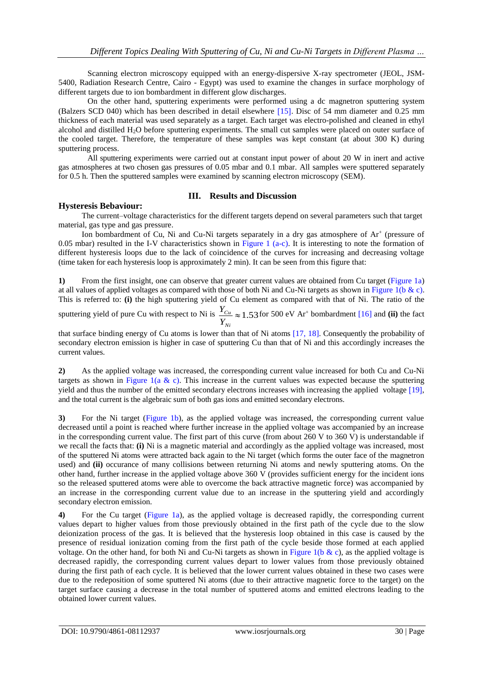Scanning electron microscopy equipped with an energy-dispersive X-ray spectrometer (JEOL, JSM-5400, Radiation Research Centre, Cairo - Egypt) was used to examine the changes in surface morphology of different targets due to ion bombardment in different glow discharges.

On the other hand, sputtering experiments were performed using a dc magnetron sputtering system (Balzers SCD 040) which has been described in detail elsewhere [15]. Disc of 54 mm diameter and 0.25 mm thickness of each material was used separately as a target. Each target was electro-polished and cleaned in ethyl alcohol and distilled H2O before sputtering experiments. The small cut samples were placed on outer surface of the cooled target. Therefore, the temperature of these samples was kept constant (at about 300 K) during sputtering process.

All sputtering experiments were carried out at constant input power of about 20 W in inert and active gas atmospheres at two chosen gas pressures of 0.05 mbar and 0.1 mbar. All samples were sputtered separately for 0.5 h. Then the sputtered samples were examined by scanning electron microscopy (SEM).

## **III. Results and Discussion**

# **Hysteresis Bebaviour:**

The current–voltage characteristics for the different targets depend on several parameters such that target material, gas type and gas pressure.

Ion bombardment of Cu, Ni and Cu-Ni targets separately in a dry gas atmosphere of  $Ar^+$  (pressure of 0.05 mbar) resulted in the I-V characteristics shown in Figure 1 (a-c). It is interesting to note the formation of different hysteresis loops due to the lack of coincidence of the curves for increasing and decreasing voltage (time taken for each hysteresis loop is approximately 2 min). It can be seen from this figure that:

**1)** From the first insight, one can observe that greater current values are obtained from Cu target (Figure 1a) at all values of applied voltages as compared with those of both Ni and Cu-Ni targets as shown in Figure 1(b & c). This is referred to: **(i)** the high sputtering yield of Cu element as compared with that of Ni. The ratio of the

sputtering yield of pure Cu with respect to Ni is  $\frac{I_{Cu}}{I_{H}} \approx 1.53$ *Ni Cu Y*  $\frac{Y_{Cu}}{Y_{Cu}} \approx 1.53$  for 500 eV Ar<sup>+</sup> bombardment [16] and **(ii)** the fact

that surface binding energy of Cu atoms is lower than that of Ni atoms [17, 18]. Consequently the probability of secondary electron emission is higher in case of sputtering Cu than that of Ni and this accordingly increases the current values.

**2)** As the applied voltage was increased, the corresponding current value increased for both Cu and Cu-Ni targets as shown in Figure 1(a & c). This increase in the current values was expected because the sputtering yield and thus the number of the emitted secondary electrons increases with increasing the applied voltage [19], and the total current is the algebraic sum of both gas ions and emitted secondary electrons.

**3)** For the Ni target (Figure 1b), as the applied voltage was increased, the corresponding current value decreased until a point is reached where further increase in the applied voltage was accompanied by an increase in the corresponding current value. The first part of this curve (from about 260 V to 360 V) is understandable if we recall the facts that: **(i)** Ni is a magnetic material and accordingly as the applied voltage was increased, most of the sputtered Ni atoms were attracted back again to the Ni target (which forms the outer face of the magnetron used) and (ii) occurance of many collisions between returning Ni atoms and newly sputtering atoms. On the other hand, further increase in the applied voltage above 360 V (provides sufficient energy for the incident ions so the released sputtered atoms were able to overcome the back attractive magnetic force) was accompanied by an increase in the corresponding current value due to an increase in the sputtering yield and accordingly secondary electron emission.

**4)** For the Cu target (Figure 1a), as the applied voltage is decreased rapidly, the corresponding current values depart to higher values from those previously obtained in the first path of the cycle due to the slow deionization process of the gas. It is believed that the hysteresis loop obtained in this case is caused by the presence of residual ionization coming from the first path of the cycle beside those formed at each applied voltage. On the other hand, for both Ni and Cu-Ni targets as shown in Figure 1(b & c), as the applied voltage is decreased rapidly, the corresponding current values depart to lower values from those previously obtained during the first path of each cycle. It is believed that the lower current values obtained in these two cases were due to the redeposition of some sputtered Ni atoms (due to their attractive magnetic force to the target) on the target surface causing a decrease in the total number of sputtered atoms and emitted electrons leading to the obtained lower current values.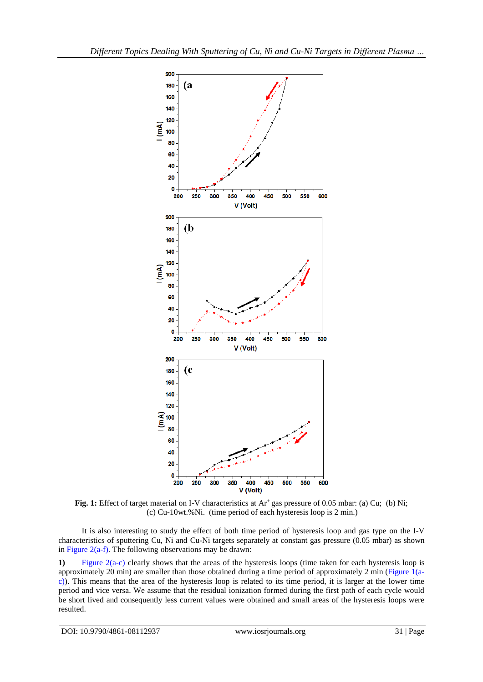

Fig. 1: Effect of target material on I-V characteristics at Ar<sup>+</sup> gas pressure of 0.05 mbar: (a) Cu; (b) Ni; (c) Cu-10wt.%Ni. (time period of each hysteresis loop is 2 min.)

It is also interesting to study the effect of both time period of hysteresis loop and gas type on the I-V characteristics of sputtering Cu, Ni and Cu-Ni targets separately at constant gas pressure (0.05 mbar) as shown in Figure  $2(a-f)$ . The following observations may be drawn:

**1)** Figure 2(a-c) clearly shows that the areas of the hysteresis loops (time taken for each hysteresis loop is approximately 20 min) are smaller than those obtained during a time period of approximately 2 min (Figure 1(ac)). This means that the area of the hysteresis loop is related to its time period, it is larger at the lower time period and vice versa. We assume that the residual ionization formed during the first path of each cycle would be short lived and consequently less current values were obtained and small areas of the hysteresis loops were resulted.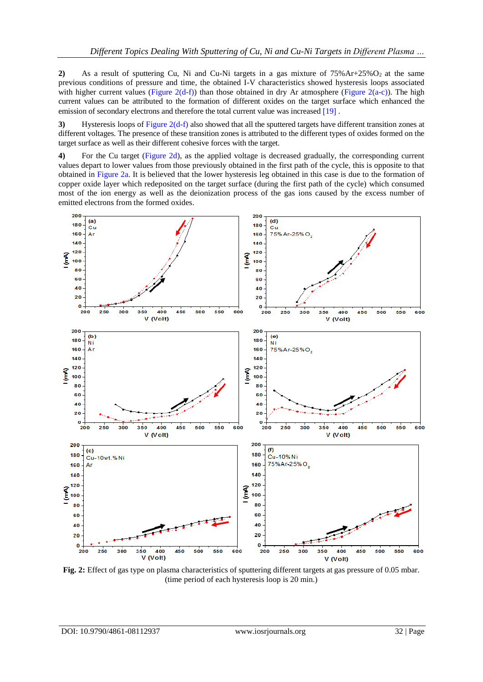**2)** As a result of sputtering Cu, Ni and Cu-Ni targets in a gas mixture of  $75\%$ Ar+ $25\%$ O<sub>2</sub> at the same previous conditions of pressure and time, the obtained I-V characteristics showed hysteresis loops associated with higher current values (Figure 2(d-f)) than those obtained in dry Ar atmosphere (Figure 2(a-c)). The high current values can be attributed to the formation of different oxides on the target surface which enhanced the emission of secondary electrons and therefore the total current value was increased [19].

**3)** Hysteresis loops of Figure 2(d-f) also showed that all the sputtered targets have different transition zones at different voltages. The presence of these transition zones is attributed to the different types of oxides formed on the target surface as well as their different cohesive forces with the target.

**4)** For the Cu target (Figure 2d), as the applied voltage is decreased gradually, the corresponding current values depart to lower values from those previously obtained in the first path of the cycle, this is opposite to that obtained in Figure 2a. It is believed that the lower hysteresis leg obtained in this case is due to the formation of copper oxide layer which redeposited on the target surface (during the first path of the cycle) which consumed most of the ion energy as well as the deionization process of the gas ions caused by the excess number of emitted electrons from the formed oxides.



**Fig. 2:** Effect of gas type on plasma characteristics of sputtering different targets at gas pressure of 0.05 mbar. (time period of each hysteresis loop is 20 min.)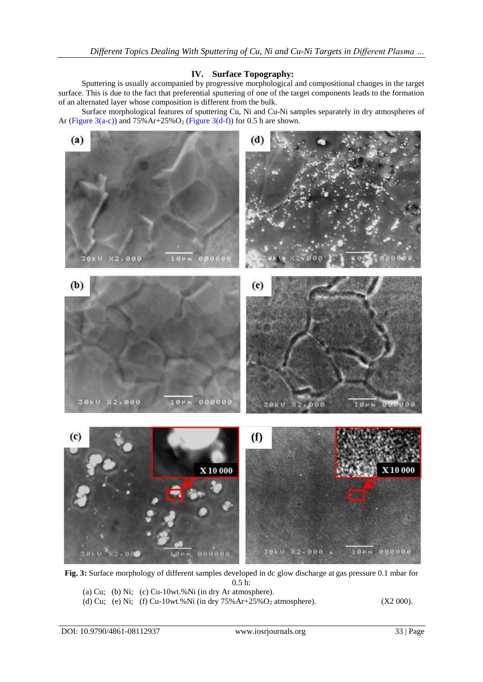# **IV. Surface Topography:**

Sputtering is usually accompanied by progressive morphological and compositional changes in the target surface. This is due to the fact that preferential sputtering of one of the target components leads to the formation of an alternated layer whose composition is different from the bulk.

 Surface morphological features of sputtering Cu, Ni and Cu-Ni samples separately in dry atmospheres of Ar (Figure 3(a-c)) and  $75\%$  Ar+25%O<sub>2</sub> (Figure 3(d-f)) for 0.5 h are shown.



**Fig. 3:** Surface morphology of different samples developed in dc glow discharge at gas pressure 0.1 mbar for 0.5 h:

(a) Cu; (b) Ni; (c) Cu-10wt.%Ni (in dry Ar atmosphere).

(d) Cu; (e) Ni; (f) Cu-10wt.%Ni (in dry 75%Ar+25%O<sub>2</sub> atmosphere). (X2 000).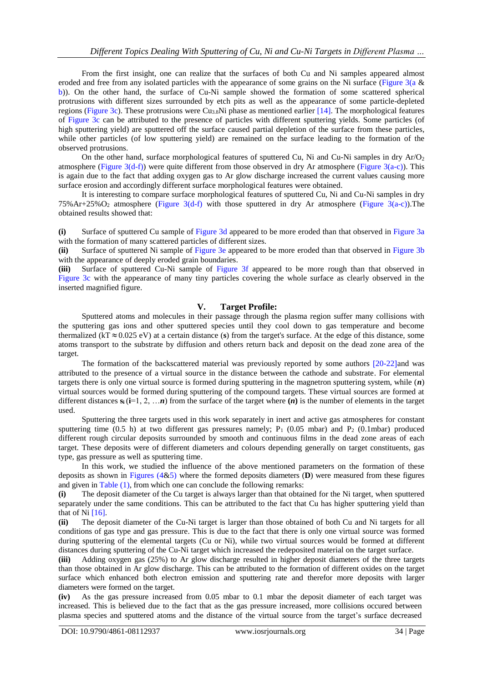From the first insight, one can realize that the surfaces of both Cu and Ni samples appeared almost eroded and free from any isolated particles with the appearance of some grains on the Ni surface (Figure 3(a & b)). On the other hand, the surface of Cu-Ni sample showed the formation of some scattered spherical protrusions with different sizes surrounded by etch pits as well as the appearance of some particle-depleted regions (Figure 3c). These protrusions were Cu3.8Ni phase as mentioned earlier [14]. The morphological features of Figure 3c can be attributed to the presence of particles with different sputtering yields. Some particles (of high sputtering yield) are sputtered off the surface caused partial depletion of the surface from these particles, while other particles (of low sputtering yield) are remained on the surface leading to the formation of the observed protrusions.

On the other hand, surface morphological features of sputtered Cu, Ni and Cu-Ni samples in dry  $Ar/O<sub>2</sub>$ atmosphere (Figure  $3(d-f)$ ) were quite different from those observed in dry Ar atmosphere (Figure  $3(a-c)$ ). This is again due to the fact that adding oxygen gas to Ar glow discharge increased the current values causing more surface erosion and accordingly different surface morphological features were obtained.

 It is interesting to compare surface morphological features of sputtered Cu, Ni and Cu-Ni samples in dry 75%Ar+25%O<sub>2</sub> atmosphere (Figure 3(d-f) with those sputtered in dry Ar atmosphere (Figure 3(a-c)). The obtained results showed that:

**(i)** Surface of sputtered Cu sample of Figure 3d appeared to be more eroded than that observed in Figure 3a with the formation of many scattered particles of different sizes.

**(ii)** Surface of sputtered Ni sample of Figure 3e appeared to be more eroded than that observed in Figure 3b with the appearance of deeply eroded grain boundaries.

**(iii)** Surface of sputtered Cu-Ni sample of Figure 3f appeared to be more rough than that observed in Figure 3c with the appearance of many tiny particles covering the whole surface as clearly observed in the inserted magnified figure.

## **V. Target Profile:**

Sputtered atoms and molecules in their passage through the plasma region suffer many collisions with the sputtering gas ions and other sputtered species until they cool down to gas temperature and become thermalized  $(kT \approx 0.025 \text{ eV})$  at a certain distance (s) from the target's surface. At the edge of this distance, some atoms transport to the substrate by diffusion and others return back and deposit on the dead zone area of the target.

The formation of the backscattered material was previously reported by some authors [20-22] and was attributed to the presence of a virtual source in the distance between the cathode and substrate. For elemental targets there is only one virtual source is formed during sputtering in the magnetron sputtering system, while (*n*) virtual sources would be formed during sputtering of the compound targets. These virtual sources are formed at different distances  $\mathbf{s}_i$  ( $\mathbf{i} = 1, 2, \dots n$ ) from the surface of the target where  $(n)$  is the number of elements in the target used.

 Sputtering the three targets used in this work separately in inert and active gas atmospheres for constant sputtering time (0.5 h) at two different gas pressures namely;  $P_1$  (0.05 mbar) and  $P_2$  (0.1mbar) produced different rough circular deposits surrounded by smooth and continuous films in the dead zone areas of each target. These deposits were of different diameters and colours depending generally on target constituents, gas type, gas pressure as well as sputtering time.

 In this work, we studied the influence of the above mentioned parameters on the formation of these deposits as shown in Figures (4&5) where the formed deposits diameters (**D**) were measured from these figures and given in Table (1), from which one can conclude the following remarks:

**(i)** The deposit diameter of the Cu target is always larger than that obtained for the Ni target, when sputtered separately under the same conditions. This can be attributed to the fact that Cu has higher sputtering yield than that of Ni  $[16]$ .

**(ii)** The deposit diameter of the Cu-Ni target is larger than those obtained of both Cu and Ni targets for all conditions of gas type and gas pressure. This is due to the fact that there is only one virtual source was formed during sputtering of the elemental targets (Cu or Ni), while two virtual sources would be formed at different distances during sputtering of the Cu-Ni target which increased the redeposited material on the target surface.

**(iii)** Adding oxygen gas (25%) to Ar glow discharge resulted in higher deposit diameters of the three targets than those obtained in Ar glow discharge. This can be attributed to the formation of different oxides on the target surface which enhanced both electron emission and sputtering rate and therefor more deposits with larger diameters were formed on the target.

**(iv)** As the gas pressure increased from 0.05 mbar to 0.1 mbar the deposit diameter of each target was increased. This is believed due to the fact that as the gas pressure increased, more collisions occured between plasma species and sputtered atoms and the distance of the virtual source from the target's surface decreased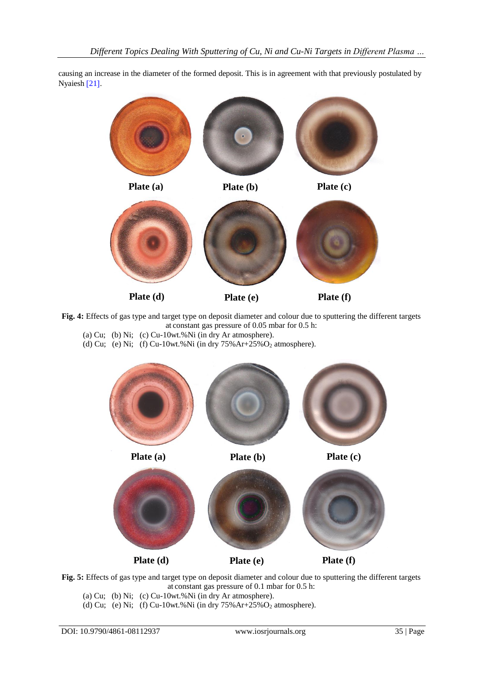causing an increase in the diameter of the formed deposit. This is in agreement with that previously postulated by Nyaiesh [21].



**Fig. 4:** Effects of gas type and target type on deposit diameter and colour due to sputtering the different targets at constant gas pressure of 0.05 mbar for 0.5 h: (a) Cu; (b) Ni; (c) Cu-10wt.%Ni (in dry Ar atmosphere).

(d) Cu; (e) Ni; (f) Cu-10wt.%Ni (in dry  $75\%$  Ar+ $25\%$ O<sub>2</sub> atmosphere).



**Fig. 5:** Effects of gas type and target type on deposit diameter and colour due to sputtering the different targets at constant gas pressure of 0.1 mbar for 0.5 h:

(a) Cu; (b) Ni; (c) Cu-10wt.%Ni (in dry Ar atmosphere).

(d) Cu; (e) Ni; (f) Cu-10wt.%Ni (in dry  $75\%Ar+25\%O_2$  atmosphere).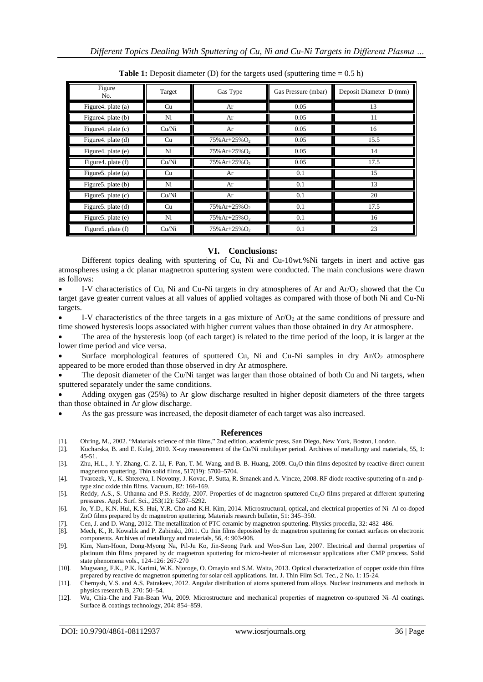| Figure<br>No.         | Target | Gas Type                    | Gas Pressure (mbar) | Deposit Diameter D (mm) |
|-----------------------|--------|-----------------------------|---------------------|-------------------------|
| Figure 4. plate (a)   | Cu     | Ar                          | 0.05                | 13                      |
| Figure 4. plate (b)   | Ni     | Ar                          | 0.05                | 11                      |
| Figure 4. plate (c)   | Cu/Ni  | Ar                          | 0.05                | 16                      |
| Figure4. plate (d)    | Cu     | $75\%$ Ar+25% $O_2$         | 0.05                | 15.5                    |
| Figure4. plate (e)    | Ni     | 75% Ar+25% O <sub>2</sub>   | 0.05                | 14                      |
| Figure 4. plate (f)   | Cu/Ni  | $75\%$ Ar+25% $O_2$         | 0.05                | 17.5                    |
| Figure5. plate (a)    | Cu     | Ar                          | 0.1                 | 15                      |
| Figure 5. plate (b)   | Ni     | Ar                          | 0.1                 | 13                      |
| Figure 5. plate $(c)$ | Cu/Ni  | Ar                          | 0.1                 | 20                      |
| Figure 5. plate $(d)$ | Cu     | $75\%$ Ar+25% $O_2$         | 0.1                 | 17.5                    |
| Figure 5. plate $(e)$ | Ni     | 75% Ar+25% O <sub>2</sub>   | 0.1                 | 16                      |
| Figure 5. plate (f)   | Cu/Ni  | $75\%$ Ar+25%O <sub>2</sub> | 0.1                 | 23                      |

**Table 1:** Deposit diameter (D) for the targets used (sputtering time  $= 0.5$  h)

## **VI. Conclusions:**

Different topics dealing with sputtering of Cu, Ni and Cu-10wt.%Ni targets in inert and active gas atmospheres using a dc planar magnetron sputtering system were conducted. The main conclusions were drawn as follows:

I-V characteristics of Cu, Ni and Cu-Ni targets in dry atmospheres of Ar and  $Ar/O<sub>2</sub>$  showed that the Cu target gave greater current values at all values of applied voltages as compared with those of both Ni and Cu-Ni targets.

I-V characteristics of the three targets in a gas mixture of  $Ar/O<sub>2</sub>$  at the same conditions of pressure and time showed hysteresis loops associated with higher current values than those obtained in dry Ar atmosphere.

 The area of the hysteresis loop (of each target) is related to the time period of the loop, it is larger at the lower time period and vice versa.

Surface morphological features of sputtered Cu, Ni and Cu-Ni samples in dry  $Ar/O<sub>2</sub>$  atmosphere appeared to be more eroded than those observed in dry Ar atmosphere.

 The deposit diameter of the Cu/Ni target was larger than those obtained of both Cu and Ni targets, when sputtered separately under the same conditions.

 Adding oxygen gas (25%) to Ar glow discharge resulted in higher deposit diameters of the three targets than those obtained in Ar glow discharge.

As the gas pressure was increased, the deposit diameter of each target was also increased.

#### **References**

- [1]. Ohring, M., 2002. "Materials science of thin films," 2nd edition, academic press, San Diego, New York, Boston, London.
- [2]. Kucharska, B. and E. Kulej, 2010. X-ray measurement of the Cu/Ni multilayer period. Archives of metallurgy and materials, 55, 1: 45-51.
- [3]. Zhu, H.L., J. Y. Zhang, C. Z. Li, F. Pan, T. M. Wang, and B. B. Huang, 2009. Cu<sub>2</sub>O thin films deposited by reactive direct current magnetron sputtering. Thin solid films, 517(19): 5700–5704.
- [4]. Tvarozek, V., K. Shtereva, I. Novotny, J. Kovac, P. Sutta, R. Srnanek and A. Vincze, 2008. RF diode reactive sputtering of n-and ptype zinc oxide thin films. Vacuum, 82: 166-169.
- [5]. Reddy, A.S., S. Uthanna and P.S. Reddy, 2007. Properties of dc magnetron sputtered Cu2O films prepared at different sputtering pressures. Appl. Surf. Sci., 253(12): 5287–5292.
- [6]. Jo, Y.D., K.N. Hui, K.S. Hui, Y.R. Cho and K.H. Kim, 2014. Microstructural, optical, and electrical properties of Ni–Al co-doped ZnO films prepared by dc magnetron sputtering. Materials research bulletin, 51: 345–350.
- [7]. Cen, J. and D. Wang, 2012. The metallization of PTC ceramic by magnetron sputtering. Physics procedia, 32: 482–486.
- [8]. Mech, K., R. Kowalik and P. Zabinski, 2011. Cu thin films deposited by dc magnetron sputtering for contact surfaces on electronic components. Archives of metallurgy and materials, 56, 4: 903-908.
- [9]. Kim, Nam-Hoon, Dong-Myong Na, Pil-Ju Ko, Jin-Seong Park and Woo-Sun Lee, 2007. Electrical and thermal properties of platinum thin films prepared by dc magnetron sputtering for micro-heater of microsensor applications after CMP process. Solid state phenomena vols., 124-126: 267-270
- [10]. Mugwang, F.K., P.K. Karimi, W.K. Njoroge, O. Omayio and S.M. Waita, 2013. Optical characterization of copper oxide thin films prepared by reactive dc magnetron sputtering for solar cell applications. Int. J. Thin Film Sci. Tec., 2 No. 1: 15-24.
- [11]. Chernysh, V.S. and A.S. Patrakeev, 2012. Angular distribution of atoms sputtered from alloys. Nuclear instruments and methods in physics research B, 270: 50–54.
- [12]. Wu, Chia-Che and Fan-Bean Wu, 2009. Microstructure and mechanical properties of magnetron co-sputtered Ni–Al coatings. Surface & coatings technology, 204: 854–859.